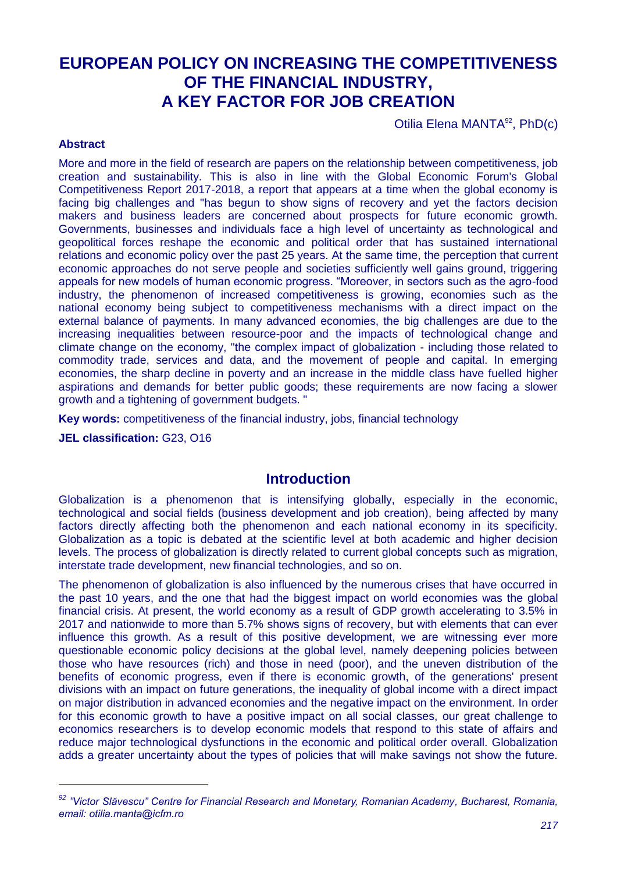# **EUROPEAN POLICY ON INCREASING THE COMPETITIVENESS OF THE FINANCIAL INDUSTRY, A KEY FACTOR FOR JOB CREATION**

Otilia Elena MANTA<sup>92</sup>, PhD(c)

#### **Abstract**

More and more in the field of research are papers on the relationship between competitiveness, job creation and sustainability. This is also in line with the Global Economic Forum's Global Competitiveness Report 2017-2018, a report that appears at a time when the global economy is facing big challenges and "has begun to show signs of recovery and yet the factors decision makers and business leaders are concerned about prospects for future economic growth. Governments, businesses and individuals face a high level of uncertainty as technological and geopolitical forces reshape the economic and political order that has sustained international relations and economic policy over the past 25 years. At the same time, the perception that current economic approaches do not serve people and societies sufficiently well gains ground, triggering appeals for new models of human economic progress. "Moreover, in sectors such as the agro-food industry, the phenomenon of increased competitiveness is growing, economies such as the national economy being subject to competitiveness mechanisms with a direct impact on the external balance of payments. In many advanced economies, the big challenges are due to the increasing inequalities between resource-poor and the impacts of technological change and climate change on the economy, "the complex impact of globalization - including those related to commodity trade, services and data, and the movement of people and capital. In emerging economies, the sharp decline in poverty and an increase in the middle class have fuelled higher aspirations and demands for better public goods; these requirements are now facing a slower growth and a tightening of government budgets. "

**Key words:** competitiveness of the financial industry, jobs, financial technology

**JEL classification:** G23, O16

-

### **Introduction**

Globalization is a phenomenon that is intensifying globally, especially in the economic, technological and social fields (business development and job creation), being affected by many factors directly affecting both the phenomenon and each national economy in its specificity. Globalization as a topic is debated at the scientific level at both academic and higher decision levels. The process of globalization is directly related to current global concepts such as migration, interstate trade development, new financial technologies, and so on.

The phenomenon of globalization is also influenced by the numerous crises that have occurred in the past 10 years, and the one that had the biggest impact on world economies was the global financial crisis. At present, the world economy as a result of GDP growth accelerating to 3.5% in 2017 and nationwide to more than 5.7% shows signs of recovery, but with elements that can ever influence this growth. As a result of this positive development, we are witnessing ever more questionable economic policy decisions at the global level, namely deepening policies between those who have resources (rich) and those in need (poor), and the uneven distribution of the benefits of economic progress, even if there is economic growth, of the generations' present divisions with an impact on future generations, the inequality of global income with a direct impact on major distribution in advanced economies and the negative impact on the environment. In order for this economic growth to have a positive impact on all social classes, our great challenge to economics researchers is to develop economic models that respond to this state of affairs and reduce major technological dysfunctions in the economic and political order overall. Globalization adds a greater uncertainty about the types of policies that will make savings not show the future.

*<sup>92</sup> "Victor Slăvescu" Centre for Financial Research and Monetary, Romanian Academy, Bucharest, Romania, email: otilia.manta@icfm.ro*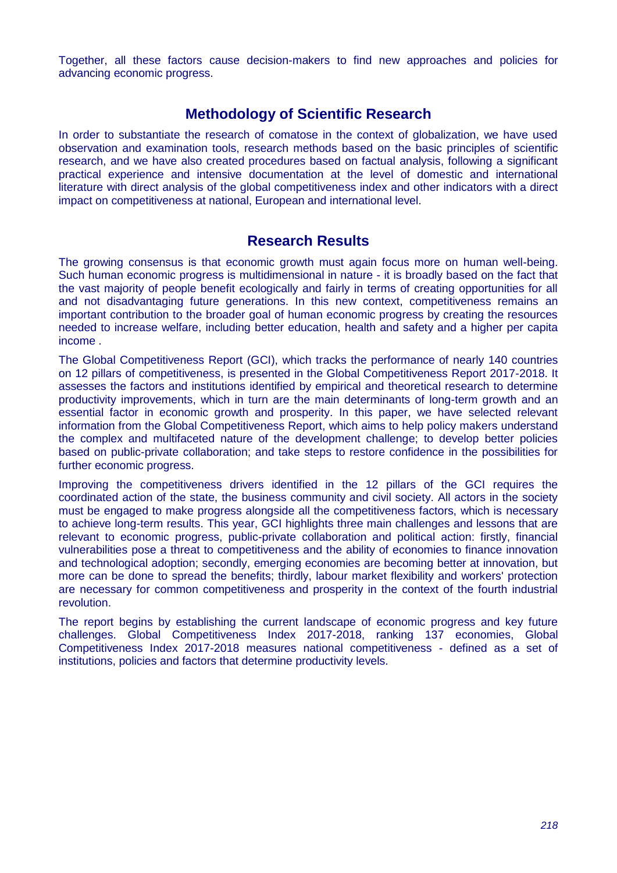Together, all these factors cause decision-makers to find new approaches and policies for advancing economic progress.

# **Methodology of Scientific Research**

In order to substantiate the research of comatose in the context of globalization, we have used observation and examination tools, research methods based on the basic principles of scientific research, and we have also created procedures based on factual analysis, following a significant practical experience and intensive documentation at the level of domestic and international literature with direct analysis of the global competitiveness index and other indicators with a direct impact on competitiveness at national, European and international level.

## **Research Results**

The growing consensus is that economic growth must again focus more on human well-being. Such human economic progress is multidimensional in nature - it is broadly based on the fact that the vast majority of people benefit ecologically and fairly in terms of creating opportunities for all and not disadvantaging future generations. In this new context, competitiveness remains an important contribution to the broader goal of human economic progress by creating the resources needed to increase welfare, including better education, health and safety and a higher per capita income .

The Global Competitiveness Report (GCI), which tracks the performance of nearly 140 countries on 12 pillars of competitiveness, is presented in the Global Competitiveness Report 2017-2018. It assesses the factors and institutions identified by empirical and theoretical research to determine productivity improvements, which in turn are the main determinants of long-term growth and an essential factor in economic growth and prosperity. In this paper, we have selected relevant information from the Global Competitiveness Report, which aims to help policy makers understand the complex and multifaceted nature of the development challenge; to develop better policies based on public-private collaboration; and take steps to restore confidence in the possibilities for further economic progress.

Improving the competitiveness drivers identified in the 12 pillars of the GCI requires the coordinated action of the state, the business community and civil society. All actors in the society must be engaged to make progress alongside all the competitiveness factors, which is necessary to achieve long-term results. This year, GCI highlights three main challenges and lessons that are relevant to economic progress, public-private collaboration and political action: firstly, financial vulnerabilities pose a threat to competitiveness and the ability of economies to finance innovation and technological adoption; secondly, emerging economies are becoming better at innovation, but more can be done to spread the benefits; thirdly, labour market flexibility and workers' protection are necessary for common competitiveness and prosperity in the context of the fourth industrial revolution.

The report begins by establishing the current landscape of economic progress and key future challenges. Global Competitiveness Index 2017-2018, ranking 137 economies, Global Competitiveness Index 2017-2018 measures national competitiveness - defined as a set of institutions, policies and factors that determine productivity levels.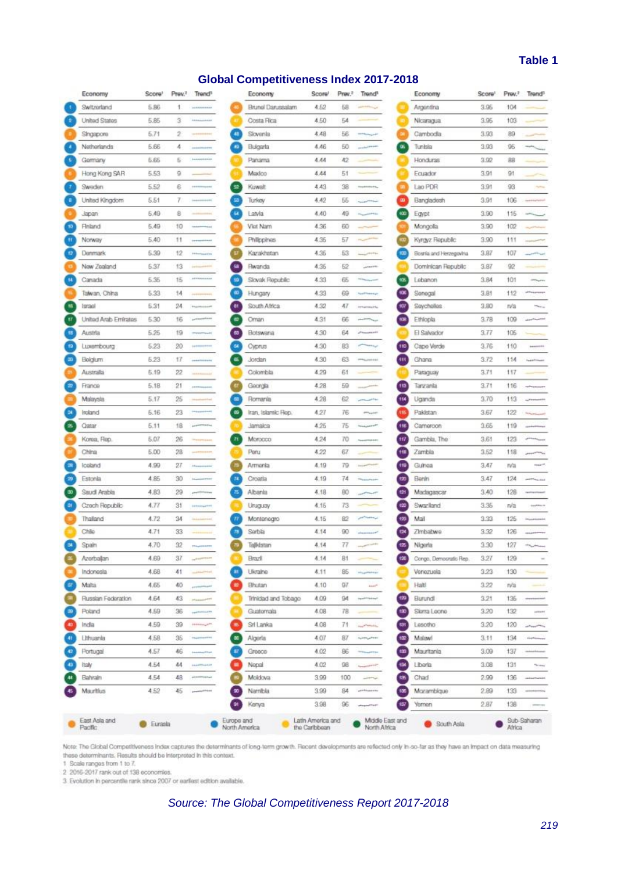#### **Table 1**

#### **Global Competitiveness Index 2017-2018**

| Economy                    | Score!          |    | Prev. <sup>2</sup> Trend <sup>p</sup> |
|----------------------------|-----------------|----|---------------------------------------|
| Switzerland                | 5.86            | 1  |                                       |
| United States              | 5.85            | з  | <b>Lanker</b>                         |
| Singapore                  | 5.71            | 2  |                                       |
| Notherlands                | 5.66            | 4  |                                       |
| Gormany                    | 5.65            | Б  | ì.                                    |
| Hong Kong SAR              | 5.53            | 9  |                                       |
| Sweden                     | 5.52            | 6  |                                       |
| United Kingdom             | 5.51            | 7  |                                       |
| Japan                      | 6.49            | 8  |                                       |
| Finiand                    | 5.49            | 10 | m                                     |
| Norway                     | 5.40            | 11 |                                       |
| <b>Denmark</b>             | 5.39            | 12 | m                                     |
| New Zealand                | 5.37            | 13 |                                       |
| Canada                     | 5.35            | 15 | arris                                 |
| Talwan, China              | 5.33            | 14 |                                       |
| Israel                     | 5.31            | 24 |                                       |
| United Arab Emirates       | 5.30            | 16 | perm                                  |
| Austria                    | 5.25            | 19 |                                       |
| Luxembourg                 | 5.23            | 20 | j.                                    |
| Belgium                    | 5.23            | 17 |                                       |
| Australia                  | 5.19            | 22 |                                       |
| France                     | 5.18            | 21 |                                       |
| Malaysla                   | 5.17            | 25 |                                       |
| Ireland                    | 5.16            | 23 |                                       |
| Qatar                      | 5.11            | 18 | posts                                 |
| Korea, Rep.                | 5.07            | 26 |                                       |
| China                      | 5.00            | 28 |                                       |
| Iceland                    | 4.99            | 27 | ia                                    |
| Estonia                    | 4.85            | 30 |                                       |
| Saudi Arabla               | 4.83            | 29 |                                       |
| Czech Republic             | 4.77            | 31 |                                       |
| Thailand                   | 4.72            | 34 |                                       |
| Chile                      | 4.71            | 33 |                                       |
| Spain                      | 4.70            | 32 |                                       |
| Azerbalan                  | 4.69            | 37 |                                       |
| Indonesia                  | 4.68            | 41 |                                       |
| Malta                      | 4.65            | 40 |                                       |
| Russian Federation         | 4.64            | 43 | 10%                                   |
| Poland                     | 4.59            | 36 |                                       |
| India                      | 4.59            | 39 | <b>FRANKLIN</b>                       |
| Lithuania                  | 4.58            | 35 |                                       |
| Portugal                   | 4.57            | 46 |                                       |
| Italy                      | 4.54            | 44 | ×                                     |
| Bahrain                    | 4.54            | 48 | th,                                   |
|                            |                 |    |                                       |
| Mauritius<br>East Asia and | 4.52<br>Eurasla | 45 |                                       |

| Economy              | Score <sup>1</sup> | Prov. <sup>2</sup> | Trend <sup>1</sup>                    | Economy                       | Sco |
|----------------------|--------------------|--------------------|---------------------------------------|-------------------------------|-----|
| Brunel Darussalam    | 4.52               | 58                 |                                       | Argentina                     | 3.  |
| Costa Rica           | 4.50               | 54                 |                                       | Nicaragua<br>۰                | 3.  |
| Slovenia             | 4.48               | 56                 |                                       | 94<br>Cambodia                | 33  |
| Bulgarla             | 4.46               | 50                 |                                       | u.<br>Tunisia                 | 3.5 |
| Panama               | 4.44               | 42                 |                                       | Honduras                      | 3.  |
| Maxico               | 4.44               | 51                 |                                       | Equador                       | 3.  |
| Kuwalt               | 4.43               | 38                 |                                       | Lao PDR<br>œ                  | 3.  |
| <b>Turkey</b>        | 4.42               | 55                 |                                       | œ<br>Bangladesh               | 3.  |
| Latvla               | 4.40               | 49                 |                                       | 400<br>Egypt                  | 31  |
| Viot Nam             | 4.36               | 60                 |                                       | Mongola                       | 33  |
| <b>Philippines</b>   | 4.35               | 57                 |                                       | œ<br>Kyrgyz Republic          | 3.  |
| Kazakhstan           | 4.35               | 53                 | <b>Service Printing</b>               | 133<br>Bosnia and Herzegovina | 31  |
| <b>Rwanda</b>        | 4.35               | 52                 | <b>ARRAIGHT</b>                       | Dominican Republic            | 3.1 |
| Slovak Republic      | 4.33               | 65                 |                                       | 435<br>Lebanon                | 31  |
| Hungary              | 4.33               | 69                 | mar                                   | 136<br>Senegal                | 3.  |
| South Africa         | 4.32               | 47                 |                                       | 957<br>Saycholias             | 31  |
| Oman                 | 4.31               | 66                 |                                       | 13<br>Ethiopia                | 3.  |
| Botswana             | 4.30               | 64                 |                                       | El Salvador                   | 3.1 |
| Cyprus               | 4.30               | 83                 |                                       | 110<br>Cape Verde             | 3.1 |
| Jordan               | 4.30               | 63                 |                                       | τij,<br>Ghana                 | 3.5 |
| Colombia             | 4.29               | 61                 |                                       | Paraguay                      | 3.5 |
| Georgia              | 4.28               | 59                 |                                       | 113<br>Tanzanla               | 3.7 |
| Romania              | 4.28               | 62                 |                                       | 114<br>Uganda                 | 3.  |
| Iran, Islamic Rep.   | 4.27               | 76                 |                                       | 115<br>Pakistan               | 31  |
| Jamaica              | 4.25               | 75                 |                                       | 110<br>Cameroon               | 31  |
| Morocco              | 4.24               | 70                 | Toyota Filippines                     | 497<br>Gambla, The            | 3.  |
| Paru                 | 4.22               | 67                 |                                       | 118<br>Zambla                 | 3.1 |
| Armenia              | 4.19               | 79                 |                                       | 119<br>Guinea                 | 37  |
| Croatla              | 4.19               | 74                 |                                       | 930<br>Benin                  | 3.  |
| Albania              | 4.18               | 80                 |                                       | 421<br>Madagascar             | 3.5 |
| Uruguay              | 4.15               | 73                 |                                       | 420<br>Swazlland              | 3.  |
| Montanagro           | 4.15               | 82                 |                                       | 121<br>Mail                   | 3.3 |
| Serbla               | 4.14               | 90                 |                                       | €N<br>Zimbabwe                | 3.3 |
| Tajlidstan           | 4.14               | 77                 |                                       | 13<br>Nigeria                 | 9.  |
| Brazil               | 4.14               | 81                 |                                       | to.<br>Congo, Democratic Rep. | 3.  |
| Ukralne              | 4.11               | 85                 | significan                            | Venezuela                     | 3.  |
| Bhutan               | 4.10               | 97                 | <b>Line</b>                           | Halti                         | 31  |
| Trinidad and Tobago  | 4.09               | 94                 |                                       | 129<br>Burundl                | 3.  |
| Guatemala            | 4.08               | 78                 |                                       | 50<br>Slarra Leone            | 33  |
| Srl Lanka            | 4.08               | 71                 | Total Property                        | 191<br>Lesotho                | 3.2 |
| Algeria              | 4.07               | 87                 | <b><i><i><u>Appendent</u></i></i></b> | 100<br>Malawi                 | 3.  |
| Greece               | 4.02               | 86                 |                                       | 恤<br>Mauritania               | 31  |
| Napal                | 4.02               | 98                 |                                       | шı<br>Liberia                 | 3.  |
| Moldova <sup>®</sup> | 3.99               | 100                |                                       | 価<br>Chad                     | 24  |
| Nambla               | 3.99               | 84                 | <b>APROVED</b>                        | Mozambigue<br>130             | 21  |
| Kenya                | 3.98               | 96                 | <b>APRILES</b>                        | Yemen<br>457                  | 21  |

Note: The Global Competitiveness Index captures the determinants of long-term growth. Recent developments are reflected only in-so-far as they have an impact on data measuring these determinants. Results should be interpreted in this context.

1 Scale ranges from 1 to 7.<br>2 2016-2017 rank out of 138 economies.

3 Evolution in percentile rank since 2007 or earliest edition available.

## *Source: The Global Competitiveness Report 2017-2018*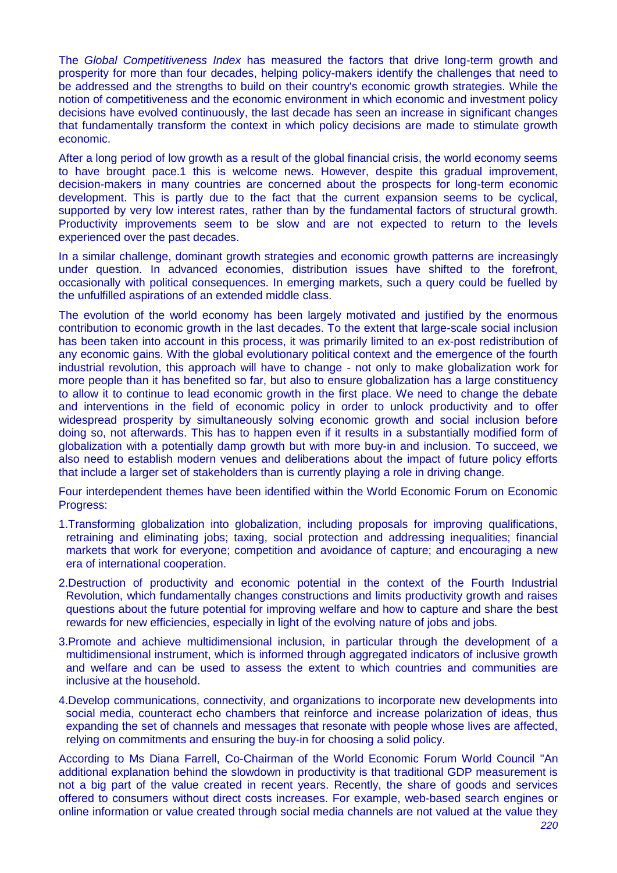The *Global Competitiveness Index* has measured the factors that drive long-term growth and prosperity for more than four decades, helping policy-makers identify the challenges that need to be addressed and the strengths to build on their country's economic growth strategies. While the notion of competitiveness and the economic environment in which economic and investment policy decisions have evolved continuously, the last decade has seen an increase in significant changes that fundamentally transform the context in which policy decisions are made to stimulate growth economic.

After a long period of low growth as a result of the global financial crisis, the world economy seems to have brought pace.1 this is welcome news. However, despite this gradual improvement, decision-makers in many countries are concerned about the prospects for long-term economic development. This is partly due to the fact that the current expansion seems to be cyclical, supported by very low interest rates, rather than by the fundamental factors of structural growth. Productivity improvements seem to be slow and are not expected to return to the levels experienced over the past decades.

In a similar challenge, dominant growth strategies and economic growth patterns are increasingly under question. In advanced economies, distribution issues have shifted to the forefront, occasionally with political consequences. In emerging markets, such a query could be fuelled by the unfulfilled aspirations of an extended middle class.

The evolution of the world economy has been largely motivated and justified by the enormous contribution to economic growth in the last decades. To the extent that large-scale social inclusion has been taken into account in this process, it was primarily limited to an ex-post redistribution of any economic gains. With the global evolutionary political context and the emergence of the fourth industrial revolution, this approach will have to change - not only to make globalization work for more people than it has benefited so far, but also to ensure globalization has a large constituency to allow it to continue to lead economic growth in the first place. We need to change the debate and interventions in the field of economic policy in order to unlock productivity and to offer widespread prosperity by simultaneously solving economic growth and social inclusion before doing so, not afterwards. This has to happen even if it results in a substantially modified form of globalization with a potentially damp growth but with more buy-in and inclusion. To succeed, we also need to establish modern venues and deliberations about the impact of future policy efforts that include a larger set of stakeholders than is currently playing a role in driving change.

Four interdependent themes have been identified within the World Economic Forum on Economic Progress:

- 1.Transforming globalization into globalization, including proposals for improving qualifications, retraining and eliminating jobs; taxing, social protection and addressing inequalities; financial markets that work for everyone; competition and avoidance of capture; and encouraging a new era of international cooperation.
- 2.Destruction of productivity and economic potential in the context of the Fourth Industrial Revolution, which fundamentally changes constructions and limits productivity growth and raises questions about the future potential for improving welfare and how to capture and share the best rewards for new efficiencies, especially in light of the evolving nature of jobs and jobs.
- 3.Promote and achieve multidimensional inclusion, in particular through the development of a multidimensional instrument, which is informed through aggregated indicators of inclusive growth and welfare and can be used to assess the extent to which countries and communities are inclusive at the household.
- 4.Develop communications, connectivity, and organizations to incorporate new developments into social media, counteract echo chambers that reinforce and increase polarization of ideas, thus expanding the set of channels and messages that resonate with people whose lives are affected, relying on commitments and ensuring the buy-in for choosing a solid policy.

According to Ms Diana Farrell, Co-Chairman of the World Economic Forum World Council "An additional explanation behind the slowdown in productivity is that traditional GDP measurement is not a big part of the value created in recent years. Recently, the share of goods and services offered to consumers without direct costs increases. For example, web-based search engines or online information or value created through social media channels are not valued at the value they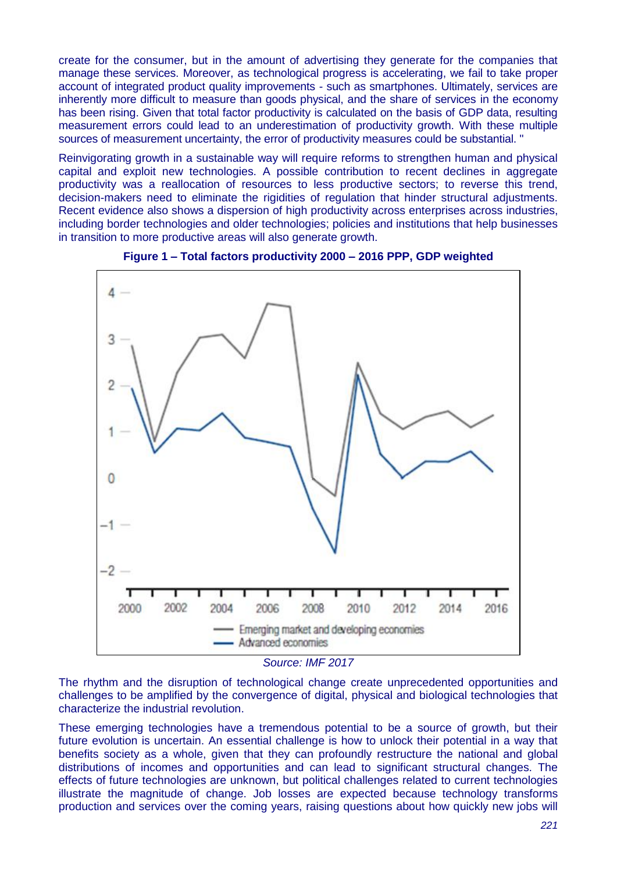create for the consumer, but in the amount of advertising they generate for the companies that manage these services. Moreover, as technological progress is accelerating, we fail to take proper account of integrated product quality improvements - such as smartphones. Ultimately, services are inherently more difficult to measure than goods physical, and the share of services in the economy has been rising. Given that total factor productivity is calculated on the basis of GDP data, resulting measurement errors could lead to an underestimation of productivity growth. With these multiple sources of measurement uncertainty, the error of productivity measures could be substantial. "

Reinvigorating growth in a sustainable way will require reforms to strengthen human and physical capital and exploit new technologies. A possible contribution to recent declines in aggregate productivity was a reallocation of resources to less productive sectors; to reverse this trend, decision-makers need to eliminate the rigidities of regulation that hinder structural adjustments. Recent evidence also shows a dispersion of high productivity across enterprises across industries, including border technologies and older technologies; policies and institutions that help businesses in transition to more productive areas will also generate growth.





*Source: IMF 2017*

The rhythm and the disruption of technological change create unprecedented opportunities and challenges to be amplified by the convergence of digital, physical and biological technologies that characterize the industrial revolution.

These emerging technologies have a tremendous potential to be a source of growth, but their future evolution is uncertain. An essential challenge is how to unlock their potential in a way that benefits society as a whole, given that they can profoundly restructure the national and global distributions of incomes and opportunities and can lead to significant structural changes. The effects of future technologies are unknown, but political challenges related to current technologies illustrate the magnitude of change. Job losses are expected because technology transforms production and services over the coming years, raising questions about how quickly new jobs will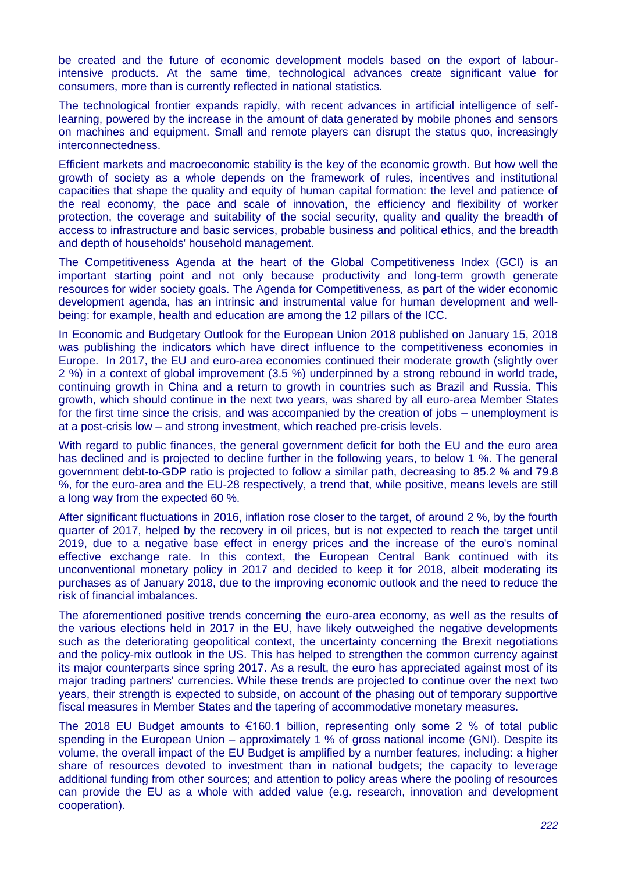be created and the future of economic development models based on the export of labourintensive products. At the same time, technological advances create significant value for consumers, more than is currently reflected in national statistics.

The technological frontier expands rapidly, with recent advances in artificial intelligence of selflearning, powered by the increase in the amount of data generated by mobile phones and sensors on machines and equipment. Small and remote players can disrupt the status quo, increasingly interconnectedness.

Efficient markets and macroeconomic stability is the key of the economic growth. But how well the growth of society as a whole depends on the framework of rules, incentives and institutional capacities that shape the quality and equity of human capital formation: the level and patience of the real economy, the pace and scale of innovation, the efficiency and flexibility of worker protection, the coverage and suitability of the social security, quality and quality the breadth of access to infrastructure and basic services, probable business and political ethics, and the breadth and depth of households' household management.

The Competitiveness Agenda at the heart of the Global Competitiveness Index (GCI) is an important starting point and not only because productivity and long-term growth generate resources for wider society goals. The Agenda for Competitiveness, as part of the wider economic development agenda, has an intrinsic and instrumental value for human development and wellbeing: for example, health and education are among the 12 pillars of the ICC.

In Economic and Budgetary Outlook for the European Union 2018 published on January 15, 2018 was publishing the indicators which have direct influence to the competitiveness economies in Europe. In 2017, the EU and euro-area economies continued their moderate growth (slightly over 2 %) in a context of global improvement (3.5 %) underpinned by a strong rebound in world trade, continuing growth in China and a return to growth in countries such as Brazil and Russia. This growth, which should continue in the next two years, was shared by all euro-area Member States for the first time since the crisis, and was accompanied by the creation of jobs – unemployment is at a post-crisis low – and strong investment, which reached pre-crisis levels.

With regard to public finances, the general government deficit for both the EU and the euro area has declined and is projected to decline further in the following years, to below 1 %. The general government debt-to-GDP ratio is projected to follow a similar path, decreasing to 85.2 % and 79.8 %, for the euro-area and the EU-28 respectively, a trend that, while positive, means levels are still a long way from the expected 60 %.

After significant fluctuations in 2016, inflation rose closer to the target, of around 2 %, by the fourth quarter of 2017, helped by the recovery in oil prices, but is not expected to reach the target until 2019, due to a negative base effect in energy prices and the increase of the euro's nominal effective exchange rate. In this context, the European Central Bank continued with its unconventional monetary policy in 2017 and decided to keep it for 2018, albeit moderating its purchases as of January 2018, due to the improving economic outlook and the need to reduce the risk of financial imbalances.

The aforementioned positive trends concerning the euro-area economy, as well as the results of the various elections held in 2017 in the EU, have likely outweighed the negative developments such as the deteriorating geopolitical context, the uncertainty concerning the Brexit negotiations and the policy-mix outlook in the US. This has helped to strengthen the common currency against its major counterparts since spring 2017. As a result, the euro has appreciated against most of its major trading partners' currencies. While these trends are projected to continue over the next two years, their strength is expected to subside, on account of the phasing out of temporary supportive fiscal measures in Member States and the tapering of accommodative monetary measures.

The 2018 EU Budget amounts to  $\epsilon$ 160.1 billion, representing only some 2 % of total public spending in the European Union – approximately 1 % of gross national income (GNI). Despite its volume, the overall impact of the EU Budget is amplified by a number features, including: a higher share of resources devoted to investment than in national budgets; the capacity to leverage additional funding from other sources; and attention to policy areas where the pooling of resources can provide the EU as a whole with added value (e.g. research, innovation and development cooperation).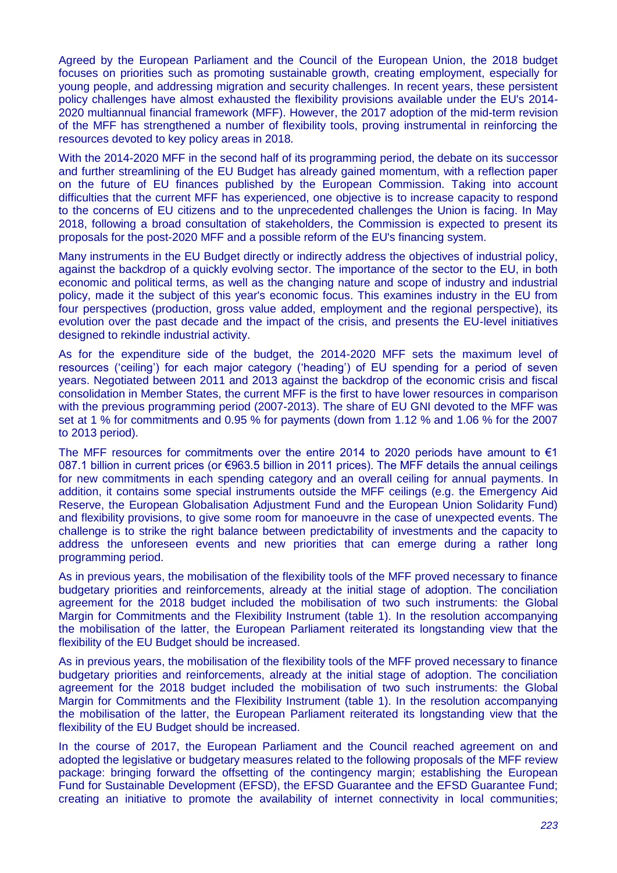Agreed by the European Parliament and the Council of the European Union, the 2018 budget focuses on priorities such as promoting sustainable growth, creating employment, especially for young people, and addressing migration and security challenges. In recent years, these persistent policy challenges have almost exhausted the flexibility provisions available under the EU's 2014- 2020 multiannual financial framework (MFF). However, the 2017 adoption of the mid-term revision of the MFF has strengthened a number of flexibility tools, proving instrumental in reinforcing the resources devoted to key policy areas in 2018.

With the 2014-2020 MFF in the second half of its programming period, the debate on its successor and further streamlining of the EU Budget has already gained momentum, with a reflection paper on the future of EU finances published by the European Commission. Taking into account difficulties that the current MFF has experienced, one objective is to increase capacity to respond to the concerns of EU citizens and to the unprecedented challenges the Union is facing. In May 2018, following a broad consultation of stakeholders, the Commission is expected to present its proposals for the post-2020 MFF and a possible reform of the EU's financing system.

Many instruments in the EU Budget directly or indirectly address the objectives of industrial policy, against the backdrop of a quickly evolving sector. The importance of the sector to the EU, in both economic and political terms, as well as the changing nature and scope of industry and industrial policy, made it the subject of this year's economic focus. This examines industry in the EU from four perspectives (production, gross value added, employment and the regional perspective), its evolution over the past decade and the impact of the crisis, and presents the EU-level initiatives designed to rekindle industrial activity.

As for the expenditure side of the budget, the 2014-2020 MFF sets the maximum level of resources ('ceiling') for each major category ('heading') of EU spending for a period of seven years. Negotiated between 2011 and 2013 against the backdrop of the economic crisis and fiscal consolidation in Member States, the current MFF is the first to have lower resources in comparison with the previous programming period (2007-2013). The share of EU GNI devoted to the MFF was set at 1 % for commitments and 0.95 % for payments (down from 1.12 % and 1.06 % for the 2007 to 2013 period).

The MFF resources for commitments over the entire 2014 to 2020 periods have amount to  $\epsilon$ 1 087.1 billion in current prices (or €963.5 billion in 2011 prices). The MFF details the annual ceilings for new commitments in each spending category and an overall ceiling for annual payments. In addition, it contains some special instruments outside the MFF ceilings (e.g. the Emergency Aid Reserve, the European Globalisation Adjustment Fund and the European Union Solidarity Fund) and flexibility provisions, to give some room for manoeuvre in the case of unexpected events. The challenge is to strike the right balance between predictability of investments and the capacity to address the unforeseen events and new priorities that can emerge during a rather long programming period.

As in previous years, the mobilisation of the flexibility tools of the MFF proved necessary to finance budgetary priorities and reinforcements, already at the initial stage of adoption. The conciliation agreement for the 2018 budget included the mobilisation of two such instruments: the Global Margin for Commitments and the Flexibility Instrument (table 1). In the resolution accompanying the mobilisation of the latter, the European Parliament reiterated its longstanding view that the flexibility of the EU Budget should be increased.

As in previous years, the mobilisation of the flexibility tools of the MFF proved necessary to finance budgetary priorities and reinforcements, already at the initial stage of adoption. The conciliation agreement for the 2018 budget included the mobilisation of two such instruments: the Global Margin for Commitments and the Flexibility Instrument (table 1). In the resolution accompanying the mobilisation of the latter, the European Parliament reiterated its longstanding view that the flexibility of the EU Budget should be increased.

In the course of 2017, the European Parliament and the Council reached agreement on and adopted the legislative or budgetary measures related to the following proposals of the MFF review package: bringing forward the offsetting of the contingency margin; establishing the European Fund for Sustainable Development (EFSD), the EFSD Guarantee and the EFSD Guarantee Fund; creating an initiative to promote the availability of internet connectivity in local communities;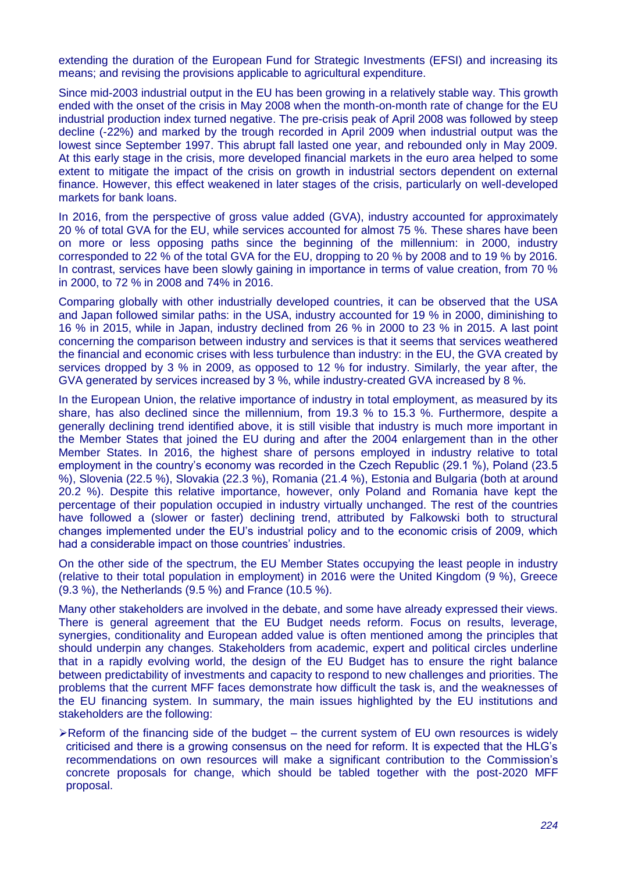extending the duration of the European Fund for Strategic Investments (EFSI) and increasing its means; and revising the provisions applicable to agricultural expenditure.

Since mid-2003 industrial output in the EU has been growing in a relatively stable way. This growth ended with the onset of the crisis in May 2008 when the month-on-month rate of change for the EU industrial production index turned negative. The pre-crisis peak of April 2008 was followed by steep decline (-22%) and marked by the trough recorded in April 2009 when industrial output was the lowest since September 1997. This abrupt fall lasted one year, and rebounded only in May 2009. At this early stage in the crisis, more developed financial markets in the euro area helped to some extent to mitigate the impact of the crisis on growth in industrial sectors dependent on external finance. However, this effect weakened in later stages of the crisis, particularly on well-developed markets for bank loans.

In 2016, from the perspective of gross value added (GVA), industry accounted for approximately 20 % of total GVA for the EU, while services accounted for almost 75 %. These shares have been on more or less opposing paths since the beginning of the millennium: in 2000, industry corresponded to 22 % of the total GVA for the EU, dropping to 20 % by 2008 and to 19 % by 2016. In contrast, services have been slowly gaining in importance in terms of value creation, from 70 % in 2000, to 72 % in 2008 and 74% in 2016.

Comparing globally with other industrially developed countries, it can be observed that the USA and Japan followed similar paths: in the USA, industry accounted for 19 % in 2000, diminishing to 16 % in 2015, while in Japan, industry declined from 26 % in 2000 to 23 % in 2015. A last point concerning the comparison between industry and services is that it seems that services weathered the financial and economic crises with less turbulence than industry: in the EU, the GVA created by services dropped by 3 % in 2009, as opposed to 12 % for industry. Similarly, the year after, the GVA generated by services increased by 3 %, while industry-created GVA increased by 8 %.

In the European Union, the relative importance of industry in total employment, as measured by its share, has also declined since the millennium, from 19.3 % to 15.3 %. Furthermore, despite a generally declining trend identified above, it is still visible that industry is much more important in the Member States that joined the EU during and after the 2004 enlargement than in the other Member States. In 2016, the highest share of persons employed in industry relative to total employment in the country's economy was recorded in the Czech Republic (29.1 %), Poland (23.5 %), Slovenia (22.5 %), Slovakia (22.3 %), Romania (21.4 %), Estonia and Bulgaria (both at around 20.2 %). Despite this relative importance, however, only Poland and Romania have kept the percentage of their population occupied in industry virtually unchanged. The rest of the countries have followed a (slower or faster) declining trend, attributed by Falkowski both to structural changes implemented under the EU's industrial policy and to the economic crisis of 2009, which had a considerable impact on those countries' industries.

On the other side of the spectrum, the EU Member States occupying the least people in industry (relative to their total population in employment) in 2016 were the United Kingdom (9 %), Greece (9.3 %), the Netherlands (9.5 %) and France (10.5 %).

Many other stakeholders are involved in the debate, and some have already expressed their views. There is general agreement that the EU Budget needs reform. Focus on results, leverage, synergies, conditionality and European added value is often mentioned among the principles that should underpin any changes. Stakeholders from academic, expert and political circles underline that in a rapidly evolving world, the design of the EU Budget has to ensure the right balance between predictability of investments and capacity to respond to new challenges and priorities. The problems that the current MFF faces demonstrate how difficult the task is, and the weaknesses of the EU financing system. In summary, the main issues highlighted by the EU institutions and stakeholders are the following:

 $\triangleright$  Reform of the financing side of the budget – the current system of EU own resources is widely criticised and there is a growing consensus on the need for reform. It is expected that the HLG's recommendations on own resources will make a significant contribution to the Commission's concrete proposals for change, which should be tabled together with the post-2020 MFF proposal.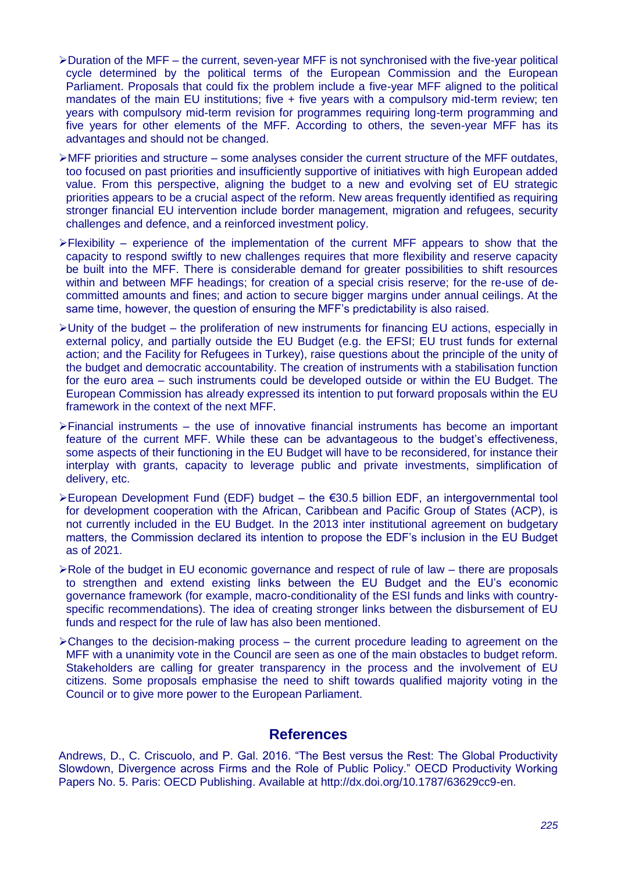- $\blacktriangleright$  Duration of the MFF the current, seven-year MFF is not synchronised with the five-year political cycle determined by the political terms of the European Commission and the European Parliament. Proposals that could fix the problem include a five-year MFF aligned to the political mandates of the main EU institutions; five + five years with a compulsory mid-term review; ten years with compulsory mid-term revision for programmes requiring long-term programming and five years for other elements of the MFF. According to others, the seven-year MFF has its advantages and should not be changed.
- $\triangleright$ MFF priorities and structure some analyses consider the current structure of the MFF outdates, too focused on past priorities and insufficiently supportive of initiatives with high European added value. From this perspective, aligning the budget to a new and evolving set of EU strategic priorities appears to be a crucial aspect of the reform. New areas frequently identified as requiring stronger financial EU intervention include border management, migration and refugees, security challenges and defence, and a reinforced investment policy.
- Flexibility experience of the implementation of the current MFF appears to show that the capacity to respond swiftly to new challenges requires that more flexibility and reserve capacity be built into the MFF. There is considerable demand for greater possibilities to shift resources within and between MFF headings; for creation of a special crisis reserve; for the re-use of decommitted amounts and fines; and action to secure bigger margins under annual ceilings. At the same time, however, the question of ensuring the MFF's predictability is also raised.
- $\blacktriangleright$  Unity of the budget the proliferation of new instruments for financing EU actions, especially in external policy, and partially outside the EU Budget (e.g. the EFSI; EU trust funds for external action; and the Facility for Refugees in Turkey), raise questions about the principle of the unity of the budget and democratic accountability. The creation of instruments with a stabilisation function for the euro area – such instruments could be developed outside or within the EU Budget. The European Commission has already expressed its intention to put forward proposals within the EU framework in the context of the next MFF.
- $\triangleright$  Financial instruments the use of innovative financial instruments has become an important feature of the current MFF. While these can be advantageous to the budget's effectiveness, some aspects of their functioning in the EU Budget will have to be reconsidered, for instance their interplay with grants, capacity to leverage public and private investments, simplification of delivery, etc.
- European Development Fund (EDF) budget the €30.5 billion EDF, an intergovernmental tool for development cooperation with the African, Caribbean and Pacific Group of States (ACP), is not currently included in the EU Budget. In the 2013 inter institutional agreement on budgetary matters, the Commission declared its intention to propose the EDF's inclusion in the EU Budget as of 2021.
- $\triangleright$  Role of the budget in EU economic governance and respect of rule of law there are proposals to strengthen and extend existing links between the EU Budget and the EU's economic governance framework (for example, macro-conditionality of the ESI funds and links with countryspecific recommendations). The idea of creating stronger links between the disbursement of EU funds and respect for the rule of law has also been mentioned.
- $\triangleright$  Changes to the decision-making process the current procedure leading to agreement on the MFF with a unanimity vote in the Council are seen as one of the main obstacles to budget reform. Stakeholders are calling for greater transparency in the process and the involvement of EU citizens. Some proposals emphasise the need to shift towards qualified majority voting in the Council or to give more power to the European Parliament.

### **References**

Andrews, D., C. Criscuolo, and P. Gal. 2016. "The Best versus the Rest: The Global Productivity Slowdown, Divergence across Firms and the Role of Public Policy." OECD Productivity Working Papers No. 5. Paris: OECD Publishing. Available at http://dx.doi.org/10.1787/63629cc9-en.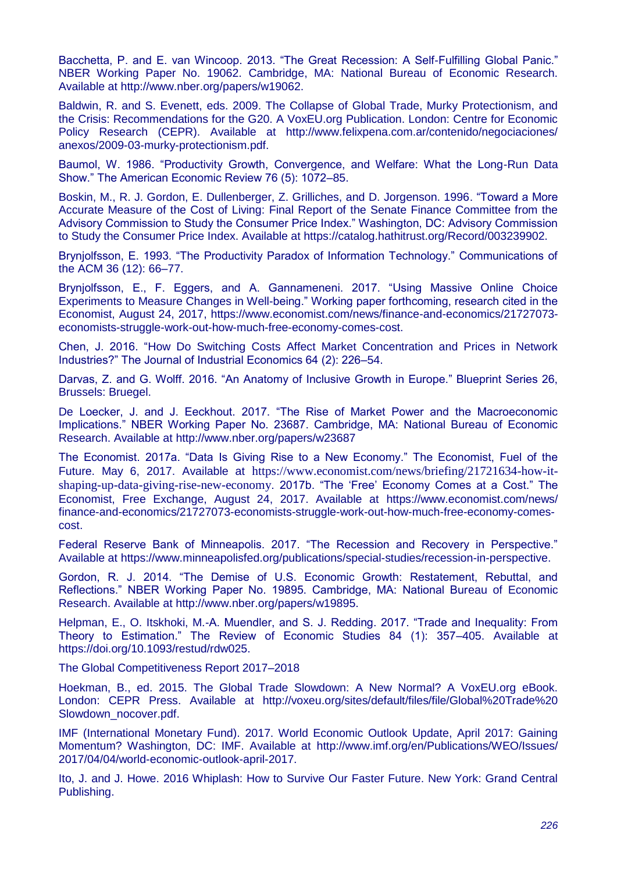Bacchetta, P. and E. van Wincoop. 2013. "The Great Recession: A Self-Fulfilling Global Panic." NBER Working Paper No. 19062. Cambridge, MA: National Bureau of Economic Research. Available at http://www.nber.org/papers/w19062.

Baldwin, R. and S. Evenett, eds. 2009. The Collapse of Global Trade, Murky Protectionism, and the Crisis: Recommendations for the G20. A VoxEU.org Publication. London: Centre for Economic Policy Research (CEPR). Available at http://www.felixpena.com.ar/contenido/negociaciones/ anexos/2009-03-murky-protectionism.pdf.

Baumol, W. 1986. "Productivity Growth, Convergence, and Welfare: What the Long-Run Data Show.‖ The American Economic Review 76 (5): 1072–85.

Boskin, M., R. J. Gordon, E. Dullenberger, Z. Grilliches, and D. Jorgenson. 1996. "Toward a More Accurate Measure of the Cost of Living: Final Report of the Senate Finance Committee from the Advisory Commission to Study the Consumer Price Index." Washington, DC: Advisory Commission to Study the Consumer Price Index. Available at https://catalog.hathitrust.org/Record/003239902.

Brynjolfsson, E. 1993. "The Productivity Paradox of Information Technology." Communications of the ACM 36 (12): 66–77.

Brynjolfsson, E., F. Eggers, and A. Gannameneni. 2017. "Using Massive Online Choice Experiments to Measure Changes in Well-being." Working paper forthcoming, research cited in the Economist, August 24, 2017, https://www.economist.com/news/finance-and-economics/21727073 economists-struggle-work-out-how-much-free-economy-comes-cost.

Chen, J. 2016. "How Do Switching Costs Affect Market Concentration and Prices in Network Industries?" The Journal of Industrial Economics 64 (2): 226–54.

Darvas, Z. and G. Wolff. 2016. "An Anatomy of Inclusive Growth in Europe." Blueprint Series 26, Brussels: Bruegel.

De Loecker, J. and J. Eeckhout. 2017. "The Rise of Market Power and the Macroeconomic Implications." NBER Working Paper No. 23687. Cambridge, MA: National Bureau of Economic Research. Available at http://www.nber.org/papers/w23687

The Economist. 2017a. "Data Is Giving Rise to a New Economy." The Economist, Fuel of the Future. May 6, 2017. Available at https://www.economist.com/news/briefing/21721634-how-itshaping-up-data-giving-rise-new-economy. 2017b. "The 'Free' Economy Comes at a Cost." The Economist, Free Exchange, August 24, 2017. Available at https://www.economist.com/news/ finance-and-economics/21727073-economists-struggle-work-out-how-much-free-economy-comescost.

Federal Reserve Bank of Minneapolis. 2017. "The Recession and Recovery in Perspective." Available at https://www.minneapolisfed.org/publications/special-studies/recession-in-perspective.

Gordon, R. J. 2014. "The Demise of U.S. Economic Growth: Restatement, Rebuttal, and Reflections.‖ NBER Working Paper No. 19895. Cambridge, MA: National Bureau of Economic Research. Available at http://www.nber.org/papers/w19895.

Helpman, E., O. Itskhoki, M.-A. Muendler, and S. J. Redding. 2017. "Trade and Inequality: From Theory to Estimation.‖ The Review of Economic Studies 84 (1): 357–405. Available at https://doi.org/10.1093/restud/rdw025.

The Global Competitiveness Report 2017–2018

Hoekman, B., ed. 2015. The Global Trade Slowdown: A New Normal? A VoxEU.org eBook. London: CEPR Press. Available at http://voxeu.org/sites/default/files/file/Global%20Trade%20 Slowdown\_nocover.pdf.

IMF (International Monetary Fund). 2017. World Economic Outlook Update, April 2017: Gaining Momentum? Washington, DC: IMF. Available at http://www.imf.org/en/Publications/WEO/Issues/ 2017/04/04/world-economic-outlook-april-2017.

Ito, J. and J. Howe. 2016 Whiplash: How to Survive Our Faster Future. New York: Grand Central Publishing.